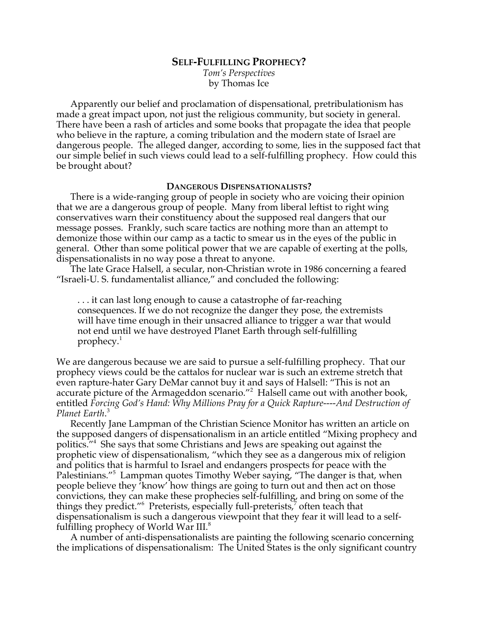## **SELF-FULFILLING PROPHECY?**

*Tom's Perspectives* by Thomas Ice

Apparently our belief and proclamation of dispensational, pretribulationism has made a great impact upon, not just the religious community, but society in general. There have been a rash of articles and some books that propagate the idea that people who believe in the rapture, a coming tribulation and the modern state of Israel are dangerous people. The alleged danger, according to some, lies in the supposed fact that our simple belief in such views could lead to a self-fulfilling prophecy. How could this be brought about?

### **DANGEROUS DISPENSATIONALISTS?**

There is a wide-ranging group of people in society who are voicing their opinion that we are a dangerous group of people. Many from liberal leftist to right wing conservatives warn their constituency about the supposed real dangers that our message posses. Frankly, such scare tactics are nothing more than an attempt to demonize those within our camp as a tactic to smear us in the eyes of the public in general. Other than some political power that we are capable of exerting at the polls, dispensationalists in no way pose a threat to anyone.

The late Grace Halsell, a secular, non-Christian wrote in 1986 concerning a feared "Israeli-U. S. fundamentalist alliance," and concluded the following:

. . . it can last long enough to cause a catastrophe of far-reaching consequences. If we do not recognize the danger they pose, the extremists will have time enough in their unsacred alliance to trigger a war that would not end until we have destroyed Planet Earth through self-fulfilling  $prophecy.<sup>1</sup>$ 

We are dangerous because we are said to pursue a self-fulfilling prophecy. That our prophecy views could be the cattalos for nuclear war is such an extreme stretch that even rapture-hater Gary DeMar cannot buy it and says of Halsell: "This is not an accurate picture of the Armageddon scenario."<sup>2</sup> Halsell came out with another book, entitled *Forcing God's Hand: Why Millions Pray for a Quick Rapture----And Destruction of Planet Earth*. 3

Recently Jane Lampman of the Christian Science Monitor has written an article on the supposed dangers of dispensationalism in an article entitled "Mixing prophecy and politics."4 She says that some Christians and Jews are speaking out against the prophetic view of dispensationalism, "which they see as a dangerous mix of religion and politics that is harmful to Israel and endangers prospects for peace with the Palestinians."5 Lampman quotes Timothy Weber saying, "The danger is that, when people believe they 'know' how things are going to turn out and then act on those convictions, they can make these prophecies self-fulfilling, and bring on some of the things they predict."<sup>6</sup> Preterists, especially full-preterists,<sup>7</sup> often teach that dispensationalism is such a dangerous viewpoint that they fear it will lead to a selffulfilling prophecy of World War III.<sup>8</sup>

A number of anti-dispensationalists are painting the following scenario concerning the implications of dispensationalism: The United States is the only significant country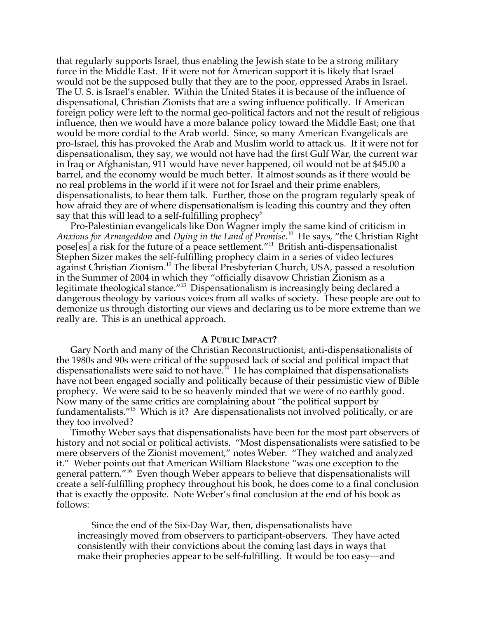that regularly supports Israel, thus enabling the Jewish state to be a strong military force in the Middle East. If it were not for American support it is likely that Israel would not be the supposed bully that they are to the poor, oppressed Arabs in Israel. The U. S. is Israel's enabler. Within the United States it is because of the influence of dispensational, Christian Zionists that are a swing influence politically. If American foreign policy were left to the normal geo-political factors and not the result of religious influence, then we would have a more balance policy toward the Middle East; one that would be more cordial to the Arab world. Since, so many American Evangelicals are pro-Israel, this has provoked the Arab and Muslim world to attack us. If it were not for dispensationalism, they say, we would not have had the first Gulf War, the current war in Iraq or Afghanistan, 911 would have never happened, oil would not be at \$45.00 a barrel, and the economy would be much better. It almost sounds as if there would be no real problems in the world if it were not for Israel and their prime enablers, dispensationalists, to hear them talk. Further, those on the program regularly speak of how afraid they are of where dispensationalism is leading this country and they often say that this will lead to a self-fulfilling prophecy<sup>9</sup>

Pro-Palestinian evangelicals like Don Wagner imply the same kind of criticism in *Anxious for Armageddon* and *Dying in the Land of Promise*. 10 He says, "the Christian Right pose[es] a risk for the future of a peace settlement."<sup>11</sup> British anti-dispensationalist Stephen Sizer makes the self-fulfilling prophecy claim in a series of video lectures against Christian Zionism.<sup>12</sup> The liberal Presbyterian Church, USA, passed a resolution in the Summer of 2004 in which they "officially disavow Christian Zionism as a legitimate theological stance."<sup>13</sup> Dispensationalism is increasingly being declared a dangerous theology by various voices from all walks of society. These people are out to demonize us through distorting our views and declaring us to be more extreme than we really are. This is an unethical approach.

#### **A PUBLIC IMPACT?**

Gary North and many of the Christian Reconstructionist, anti-dispensationalists of the 1980s and 90s were critical of the supposed lack of social and political impact that dispensationalists were said to not have.<sup>14</sup> He has complained that dispensationalists have not been engaged socially and politically because of their pessimistic view of Bible prophecy. We were said to be so heavenly minded that we were of no earthly good. Now many of the same critics are complaining about "the political support by fundamentalists."<sup>15</sup> Which is it? Are dispensationalists not involved politically, or are they too involved?

Timothy Weber says that dispensationalists have been for the most part observers of history and not social or political activists. "Most dispensationalists were satisfied to be mere observers of the Zionist movement," notes Weber. "They watched and analyzed it." Weber points out that American William Blackstone "was one exception to the general pattern."<sup>16</sup> Even though Weber appears to believe that dispensationalists will create a self-fulfilling prophecy throughout his book, he does come to a final conclusion that is exactly the opposite. Note Weber's final conclusion at the end of his book as follows:

Since the end of the Six-Day War, then, dispensationalists have increasingly moved from observers to participant-observers. They have acted consistently with their convictions about the coming last days in ways that make their prophecies appear to be self-fulfilling. It would be too easy—and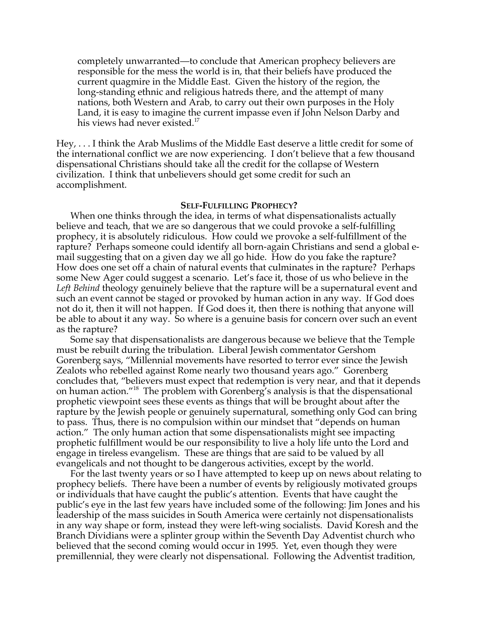completely unwarranted—to conclude that American prophecy believers are responsible for the mess the world is in, that their beliefs have produced the current quagmire in the Middle East. Given the history of the region, the long-standing ethnic and religious hatreds there, and the attempt of many nations, both Western and Arab, to carry out their own purposes in the Holy Land, it is easy to imagine the current impasse even if John Nelson Darby and his views had never existed.<sup>17</sup>

Hey, . . . I think the Arab Muslims of the Middle East deserve a little credit for some of the international conflict we are now experiencing. I don't believe that a few thousand dispensational Christians should take all the credit for the collapse of Western civilization. I think that unbelievers should get some credit for such an accomplishment.

### **SELF-FULFILLING PROPHECY?**

When one thinks through the idea, in terms of what dispensationalists actually believe and teach, that we are so dangerous that we could provoke a self-fulfilling prophecy, it is absolutely ridiculous. How could we provoke a self-fulfillment of the rapture? Perhaps someone could identify all born-again Christians and send a global email suggesting that on a given day we all go hide. How do you fake the rapture? How does one set off a chain of natural events that culminates in the rapture? Perhaps some New Ager could suggest a scenario. Let's face it, those of us who believe in the *Left Behind* theology genuinely believe that the rapture will be a supernatural event and such an event cannot be staged or provoked by human action in any way. If God does not do it, then it will not happen. If God does it, then there is nothing that anyone will be able to about it any way. So where is a genuine basis for concern over such an event as the rapture?

Some say that dispensationalists are dangerous because we believe that the Temple must be rebuilt during the tribulation. Liberal Jewish commentator Gershom Gorenberg says, "Millennial movements have resorted to terror ever since the Jewish Zealots who rebelled against Rome nearly two thousand years ago." Gorenberg concludes that, "believers must expect that redemption is very near, and that it depends on human action."<sup>18</sup> The problem with Gorenberg's analysis is that the dispensational prophetic viewpoint sees these events as things that will be brought about after the rapture by the Jewish people or genuinely supernatural, something only God can bring to pass. Thus, there is no compulsion within our mindset that "depends on human action." The only human action that some dispensationalists might see impacting prophetic fulfillment would be our responsibility to live a holy life unto the Lord and engage in tireless evangelism. These are things that are said to be valued by all evangelicals and not thought to be dangerous activities, except by the world.

For the last twenty years or so I have attempted to keep up on news about relating to prophecy beliefs. There have been a number of events by religiously motivated groups or individuals that have caught the public's attention. Events that have caught the public's eye in the last few years have included some of the following: Jim Jones and his leadership of the mass suicides in South America were certainly not dispensationalists in any way shape or form, instead they were left-wing socialists. David Koresh and the Branch Dividians were a splinter group within the Seventh Day Adventist church who believed that the second coming would occur in 1995. Yet, even though they were premillennial, they were clearly not dispensational. Following the Adventist tradition,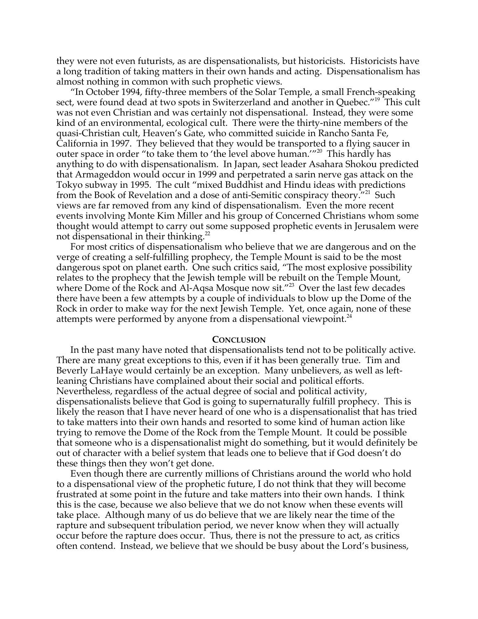they were not even futurists, as are dispensationalists, but historicists. Historicists have a long tradition of taking matters in their own hands and acting. Dispensationalism has almost nothing in common with such prophetic views.

"In October 1994, fifty-three members of the Solar Temple, a small French-speaking sect, were found dead at two spots in Switerzerland and another in Quebec."<sup>19</sup> This cult was not even Christian and was certainly not dispensational. Instead, they were some kind of an environmental, ecological cult. There were the thirty-nine members of the quasi-Christian cult, Heaven's Gate, who committed suicide in Rancho Santa Fe, California in 1997. They believed that they would be transported to a flying saucer in outer space in order "to take them to 'the level above human.'"<sup>20</sup> This hardly has anything to do with dispensationalism. In Japan, sect leader Asahara Shokou predicted that Armageddon would occur in 1999 and perpetrated a sarin nerve gas attack on the Tokyo subway in 1995. The cult "mixed Buddhist and Hindu ideas with predictions from the Book of Revelation and a dose of anti-Semitic conspiracy theory.<sup>"21</sup> Such views are far removed from any kind of dispensationalism. Even the more recent events involving Monte Kim Miller and his group of Concerned Christians whom some thought would attempt to carry out some supposed prophetic events in Jerusalem were not dispensational in their thinking.<sup>22</sup>

For most critics of dispensationalism who believe that we are dangerous and on the verge of creating a self-fulfilling prophecy, the Temple Mount is said to be the most dangerous spot on planet earth. One such critics said, "The most explosive possibility relates to the prophecy that the Jewish temple will be rebuilt on the Temple Mount, where Dome of the Rock and Al-Aqsa Mosque now sit."<sup>23</sup> Over the last few decades there have been a few attempts by a couple of individuals to blow up the Dome of the Rock in order to make way for the next Jewish Temple. Yet, once again, none of these attempts were performed by anyone from a dispensational viewpoint.<sup>24</sup>

#### **CONCLUSION**

In the past many have noted that dispensationalists tend not to be politically active. There are many great exceptions to this, even if it has been generally true. Tim and Beverly LaHaye would certainly be an exception. Many unbelievers, as well as leftleaning Christians have complained about their social and political efforts. Nevertheless, regardless of the actual degree of social and political activity, dispensationalists believe that God is going to supernaturally fulfill prophecy. This is likely the reason that I have never heard of one who is a dispensationalist that has tried to take matters into their own hands and resorted to some kind of human action like trying to remove the Dome of the Rock from the Temple Mount. It could be possible that someone who is a dispensationalist might do something, but it would definitely be out of character with a belief system that leads one to believe that if God doesn't do these things then they won't get done.

Even though there are currently millions of Christians around the world who hold to a dispensational view of the prophetic future, I do not think that they will become frustrated at some point in the future and take matters into their own hands. I think this is the case, because we also believe that we do not know when these events will take place. Although many of us do believe that we are likely near the time of the rapture and subsequent tribulation period, we never know when they will actually occur before the rapture does occur. Thus, there is not the pressure to act, as critics often contend. Instead, we believe that we should be busy about the Lord's business,